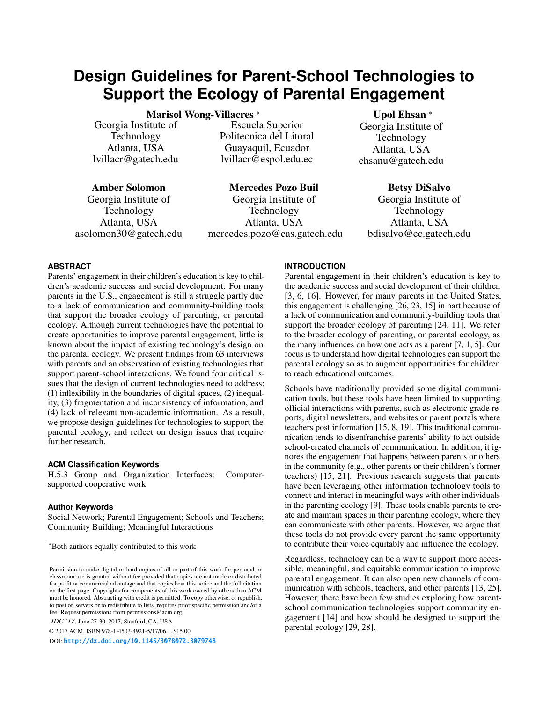# **Design Guidelines for Parent-School Technologies to Support the Ecology of Parental Engagement**

Marisol Wong-Villacres <sup>∗</sup>

Georgia Institute of Technology Atlanta, USA lvillacr@gatech.edu

Amber Solomon Georgia Institute of Technology Atlanta, USA asolomon30@gatech.edu

Escuela Superior Politecnica del Litoral Guayaquil, Ecuador lvillacr@espol.edu.ec

Mercedes Pozo Buil Georgia Institute of Technology Atlanta, USA mercedes.pozo@eas.gatech.edu

Upol Ehsan <sup>∗</sup> Georgia Institute of Technology Atlanta, USA ehsanu@gatech.edu

> Betsy DiSalvo Georgia Institute of Technology Atlanta, USA bdisalvo@cc.gatech.edu

# **ABSTRACT**

Parents' engagement in their children's education is key to children's academic success and social development. For many parents in the U.S., engagement is still a struggle partly due to a lack of communication and community-building tools that support the broader ecology of parenting, or parental ecology. Although current technologies have the potential to create opportunities to improve parental engagement, little is known about the impact of existing technology's design on the parental ecology. We present findings from 63 interviews with parents and an observation of existing technologies that support parent-school interactions. We found four critical issues that the design of current technologies need to address: (1) inflexibility in the boundaries of digital spaces, (2) inequality, (3) fragmentation and inconsistency of information, and (4) lack of relevant non-academic information. As a result, we propose design guidelines for technologies to support the parental ecology, and reflect on design issues that require further research.

# **ACM Classification Keywords**

H.5.3 Group and Organization Interfaces: Computersupported cooperative work

# **Author Keywords**

Social Network; Parental Engagement; Schools and Teachers; Community Building; Meaningful Interactions

*IDC '17,* June 27-30, 2017, Stanford, CA, USA

© 2017 ACM. ISBN 978-1-4503-4921-5/17/06. . . \$15.00

DOI: <http://dx.doi.org/10.1145/3078072.3079748>

#### **INTRODUCTION**

Parental engagement in their children's education is key to the academic success and social development of their children [\[3,](#page-9-0) [6,](#page-9-1) [16\]](#page-9-2). However, for many parents in the United States, this engagement is challenging [\[26,](#page-10-0) [23,](#page-9-3) [15\]](#page-9-4) in part because of a lack of communication and community-building tools that support the broader ecology of parenting [\[24,](#page-10-1) [11\]](#page-9-5). We refer to the broader ecology of parenting, or parental ecology, as the many influences on how one acts as a parent [\[7,](#page-9-6) [1,](#page-9-7) [5\]](#page-9-8). Our focus is to understand how digital technologies can support the parental ecology so as to augment opportunities for children to reach educational outcomes.

Schools have traditionally provided some digital communication tools, but these tools have been limited to supporting official interactions with parents, such as electronic grade reports, digital newsletters, and websites or parent portals where teachers post information [\[15,](#page-9-4) [8,](#page-9-9) [19\]](#page-9-10). This traditional communication tends to disenfranchise parents' ability to act outside school-created channels of communication. In addition, it ignores the engagement that happens between parents or others in the community (e.g., other parents or their children's former teachers) [\[15,](#page-9-4) [21\]](#page-9-11). Previous research suggests that parents have been leveraging other information technology tools to connect and interact in meaningful ways with other individuals in the parenting ecology [\[9\]](#page-9-12). These tools enable parents to create and maintain spaces in their parenting ecology, where they can communicate with other parents. However, we argue that these tools do not provide every parent the same opportunity to contribute their voice equitably and influence the ecology.

Regardless, technology can be a way to support more accessible, meaningful, and equitable communication to improve parental engagement. It can also open new channels of communication with schools, teachers, and other parents [\[13,](#page-9-13) [25\]](#page-10-2). However, there have been few studies exploring how parentschool communication technologies support community engagement [\[14\]](#page-9-14) and how should be designed to support the parental ecology [\[29,](#page-10-3) [28\]](#page-10-4).

<sup>\*</sup>Both authors equally contributed to this work

Permission to make digital or hard copies of all or part of this work for personal or classroom use is granted without fee provided that copies are not made or distributed for profit or commercial advantage and that copies bear this notice and the full citation on the first page. Copyrights for components of this work owned by others than ACM must be honored. Abstracting with credit is permitted. To copy otherwise, or republish, to post on servers or to redistribute to lists, requires prior specific permission and/or a fee. Request permissions from permissions@acm.org.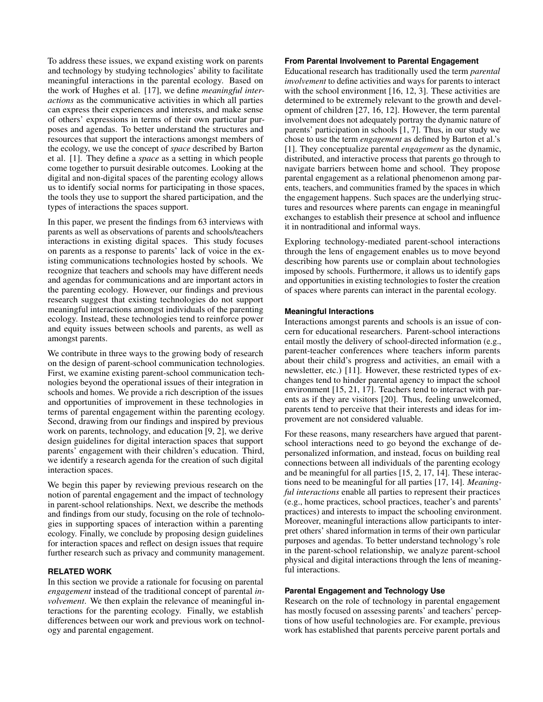To address these issues, we expand existing work on parents and technology by studying technologies' ability to facilitate meaningful interactions in the parental ecology. Based on the work of Hughes et al. [\[17\]](#page-9-15), we define *meaningful interactions* as the communicative activities in which all parties can express their experiences and interests, and make sense of others' expressions in terms of their own particular purposes and agendas. To better understand the structures and resources that support the interactions amongst members of the ecology, we use the concept of *space* described by Barton et al. [\[1\]](#page-9-7). They define a *space* as a setting in which people come together to pursuit desirable outcomes. Looking at the digital and non-digital spaces of the parenting ecology allows us to identify social norms for participating in those spaces, the tools they use to support the shared participation, and the types of interactions the spaces support.

In this paper, we present the findings from 63 interviews with parents as well as observations of parents and schools/teachers interactions in existing digital spaces. This study focuses on parents as a response to parents' lack of voice in the existing communications technologies hosted by schools. We recognize that teachers and schools may have different needs and agendas for communications and are important actors in the parenting ecology. However, our findings and previous research suggest that existing technologies do not support meaningful interactions amongst individuals of the parenting ecology. Instead, these technologies tend to reinforce power and equity issues between schools and parents, as well as amongst parents.

We contribute in three ways to the growing body of research on the design of parent-school communication technologies. First, we examine existing parent-school communication technologies beyond the operational issues of their integration in schools and homes. We provide a rich description of the issues and opportunities of improvement in these technologies in terms of parental engagement within the parenting ecology. Second, drawing from our findings and inspired by previous work on parents, technology, and education [\[9,](#page-9-12) [2\]](#page-9-16), we derive design guidelines for digital interaction spaces that support parents' engagement with their children's education. Third, we identify a research agenda for the creation of such digital interaction spaces.

We begin this paper by reviewing previous research on the notion of parental engagement and the impact of technology in parent-school relationships. Next, we describe the methods and findings from our study, focusing on the role of technologies in supporting spaces of interaction within a parenting ecology. Finally, we conclude by proposing design guidelines for interaction spaces and reflect on design issues that require further research such as privacy and community management.

#### **RELATED WORK**

In this section we provide a rationale for focusing on parental *engagement* instead of the traditional concept of parental *involvement*. We then explain the relevance of meaningful interactions for the parenting ecology. Finally, we establish differences between our work and previous work on technology and parental engagement.

#### **From Parental Involvement to Parental Engagement**

Educational research has traditionally used the term *parental involvement* to define activities and ways for parents to interact with the school environment [\[16,](#page-9-2) [12,](#page-9-17) [3\]](#page-9-0). These activities are determined to be extremely relevant to the growth and development of children [\[27,](#page-10-5) [16,](#page-9-2) [12\]](#page-9-17). However, the term parental involvement does not adequately portray the dynamic nature of parents' participation in schools [\[1,](#page-9-7) [7\]](#page-9-6). Thus, in our study we chose to use the term *engagement* as defined by Barton et al.'s [\[1\]](#page-9-7). They conceptualize parental *engagement* as the dynamic, distributed, and interactive process that parents go through to navigate barriers between home and school. They propose parental engagement as a relational phenomenon among parents, teachers, and communities framed by the spaces in which the engagement happens. Such spaces are the underlying structures and resources where parents can engage in meaningful exchanges to establish their presence at school and influence it in nontraditional and informal ways.

Exploring technology-mediated parent-school interactions through the lens of engagement enables us to move beyond describing how parents use or complain about technologies imposed by schools. Furthermore, it allows us to identify gaps and opportunities in existing technologies to foster the creation of spaces where parents can interact in the parental ecology.

#### **Meaningful Interactions**

Interactions amongst parents and schools is an issue of concern for educational researchers. Parent-school interactions entail mostly the delivery of school-directed information (e.g., parent-teacher conferences where teachers inform parents about their child's progress and activities, an email with a newsletter, etc.) [\[11\]](#page-9-5). However, these restricted types of exchanges tend to hinder parental agency to impact the school environment [\[15,](#page-9-4) [21,](#page-9-11) [17\]](#page-9-15). Teachers tend to interact with parents as if they are visitors [\[20\]](#page-9-18). Thus, feeling unwelcomed, parents tend to perceive that their interests and ideas for improvement are not considered valuable.

For these reasons, many researchers have argued that parentschool interactions need to go beyond the exchange of depersonalized information, and instead, focus on building real connections between all individuals of the parenting ecology and be meaningful for all parties [\[15,](#page-9-4) [2,](#page-9-16) [17,](#page-9-15) [14\]](#page-9-14). These interactions need to be meaningful for all parties [\[17,](#page-9-15) [14\]](#page-9-14). *Meaningful interactions* enable all parties to represent their practices (e.g., home practices, school practices, teacher's and parents' practices) and interests to impact the schooling environment. Moreover, meaningful interactions allow participants to interpret others' shared information in terms of their own particular purposes and agendas. To better understand technology's role in the parent-school relationship, we analyze parent-school physical and digital interactions through the lens of meaningful interactions.

#### **Parental Engagement and Technology Use**

Research on the role of technology in parental engagement has mostly focused on assessing parents' and teachers' perceptions of how useful technologies are. For example, previous work has established that parents perceive parent portals and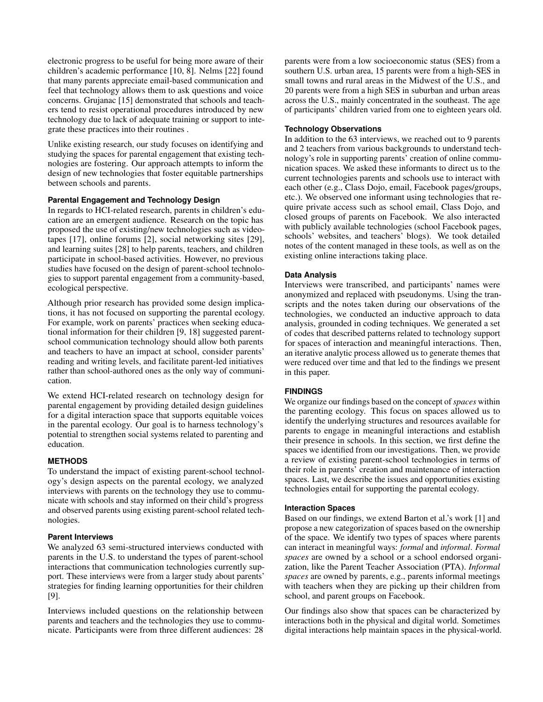electronic progress to be useful for being more aware of their children's academic performance [\[10,](#page-9-19) [8\]](#page-9-9). Nelms [\[22\]](#page-9-20) found that many parents appreciate email-based communication and feel that technology allows them to ask questions and voice concerns. Grujanac [\[15\]](#page-9-4) demonstrated that schools and teachers tend to resist operational procedures introduced by new technology due to lack of adequate training or support to integrate these practices into their routines .

Unlike existing research, our study focuses on identifying and studying the spaces for parental engagement that existing technologies are fostering. Our approach attempts to inform the design of new technologies that foster equitable partnerships between schools and parents.

# **Parental Engagement and Technology Design**

In regards to HCI-related research, parents in children's education are an emergent audience. Research on the topic has proposed the use of existing/new technologies such as videotapes [\[17\]](#page-9-15), online forums [\[2\]](#page-9-16), social networking sites [\[29\]](#page-10-3), and learning suites [\[28\]](#page-10-4) to help parents, teachers, and children participate in school-based activities. However, no previous studies have focused on the design of parent-school technologies to support parental engagement from a community-based, ecological perspective.

Although prior research has provided some design implications, it has not focused on supporting the parental ecology. For example, work on parents' practices when seeking educational information for their children [\[9,](#page-9-12) [18\]](#page-9-21) suggested parentschool communication technology should allow both parents and teachers to have an impact at school, consider parents' reading and writing levels, and facilitate parent-led initiatives rather than school-authored ones as the only way of communication.

We extend HCI-related research on technology design for parental engagement by providing detailed design guidelines for a digital interaction space that supports equitable voices in the parental ecology. Our goal is to harness technology's potential to strengthen social systems related to parenting and education.

# **METHODS**

To understand the impact of existing parent-school technology's design aspects on the parental ecology, we analyzed interviews with parents on the technology they use to communicate with schools and stay informed on their child's progress and observed parents using existing parent-school related technologies.

## **Parent Interviews**

We analyzed 63 semi-structured interviews conducted with parents in the U.S. to understand the types of parent-school interactions that communication technologies currently support. These interviews were from a larger study about parents' strategies for finding learning opportunities for their children [\[9\]](#page-9-12).

Interviews included questions on the relationship between parents and teachers and the technologies they use to communicate. Participants were from three different audiences: 28

parents were from a low socioeconomic status (SES) from a southern U.S. urban area, 15 parents were from a high-SES in small towns and rural areas in the Midwest of the U.S., and 20 parents were from a high SES in suburban and urban areas across the U.S., mainly concentrated in the southeast. The age of participants' children varied from one to eighteen years old.

# **Technology Observations**

In addition to the 63 interviews, we reached out to 9 parents and 2 teachers from various backgrounds to understand technology's role in supporting parents' creation of online communication spaces. We asked these informants to direct us to the current technologies parents and schools use to interact with each other (e.g., Class Dojo, email, Facebook pages/groups, etc.). We observed one informant using technologies that require private access such as school email, Class Dojo, and closed groups of parents on Facebook. We also interacted with publicly available technologies (school Facebook pages, schools' websites, and teachers' blogs). We took detailed notes of the content managed in these tools, as well as on the existing online interactions taking place.

#### **Data Analysis**

Interviews were transcribed, and participants' names were anonymized and replaced with pseudonyms. Using the transcripts and the notes taken during our observations of the technologies, we conducted an inductive approach to data analysis, grounded in coding techniques. We generated a set of codes that described patterns related to technology support for spaces of interaction and meaningful interactions. Then, an iterative analytic process allowed us to generate themes that were reduced over time and that led to the findings we present in this paper.

# **FINDINGS**

We organize our findings based on the concept of *spaces* within the parenting ecology. This focus on spaces allowed us to identify the underlying structures and resources available for parents to engage in meaningful interactions and establish their presence in schools. In this section, we first define the spaces we identified from our investigations. Then, we provide a review of existing parent-school technologies in terms of their role in parents' creation and maintenance of interaction spaces. Last, we describe the issues and opportunities existing technologies entail for supporting the parental ecology.

# **Interaction Spaces**

Based on our findings, we extend Barton et al.'s work [\[1\]](#page-9-7) and propose a new categorization of spaces based on the ownership of the space. We identify two types of spaces where parents can interact in meaningful ways: *formal* and *informal*. *Formal spaces* are owned by a school or a school endorsed organization, like the Parent Teacher Association (PTA). *Informal spaces* are owned by parents, e.g., parents informal meetings with teachers when they are picking up their children from school, and parent groups on Facebook.

Our findings also show that spaces can be characterized by interactions both in the physical and digital world. Sometimes digital interactions help maintain spaces in the physical-world.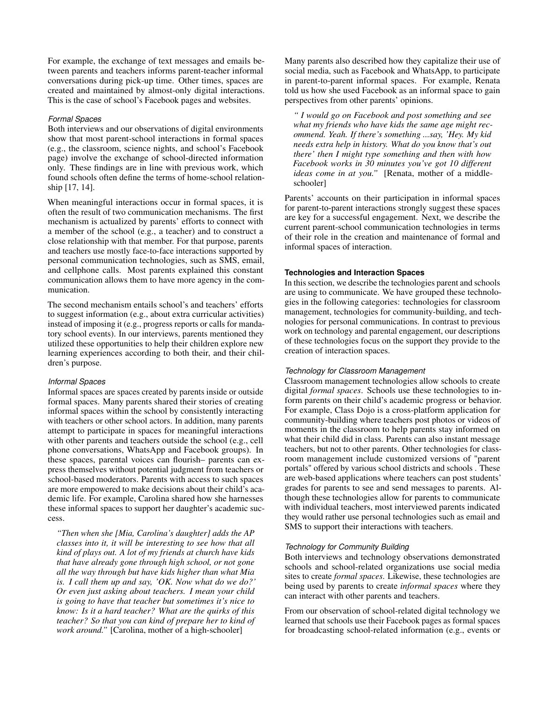For example, the exchange of text messages and emails between parents and teachers informs parent-teacher informal conversations during pick-up time. Other times, spaces are created and maintained by almost-only digital interactions. This is the case of school's Facebook pages and websites.

#### *Formal Spaces*

Both interviews and our observations of digital environments show that most parent-school interactions in formal spaces (e.g., the classroom, science nights, and school's Facebook page) involve the exchange of school-directed information only. These findings are in line with previous work, which found schools often define the terms of home-school relationship [\[17,](#page-9-15) [14\]](#page-9-14).

When meaningful interactions occur in formal spaces, it is often the result of two communication mechanisms. The first mechanism is actualized by parents' efforts to connect with a member of the school (e.g., a teacher) and to construct a close relationship with that member. For that purpose, parents and teachers use mostly face-to-face interactions supported by personal communication technologies, such as SMS, email, and cellphone calls. Most parents explained this constant communication allows them to have more agency in the communication.

The second mechanism entails school's and teachers' efforts to suggest information (e.g., about extra curricular activities) instead of imposing it (e.g., progress reports or calls for mandatory school events). In our interviews, parents mentioned they utilized these opportunities to help their children explore new learning experiences according to both their, and their children's purpose.

## *Informal Spaces*

Informal spaces are spaces created by parents inside or outside formal spaces. Many parents shared their stories of creating informal spaces within the school by consistently interacting with teachers or other school actors. In addition, many parents attempt to participate in spaces for meaningful interactions with other parents and teachers outside the school (e.g., cell phone conversations, WhatsApp and Facebook groups). In these spaces, parental voices can flourish– parents can express themselves without potential judgment from teachers or school-based moderators. Parents with access to such spaces are more empowered to make decisions about their child's academic life. For example, Carolina shared how she harnesses these informal spaces to support her daughter's academic success.

*"Then when she [Mia, Carolina's daughter] adds the AP classes into it, it will be interesting to see how that all kind of plays out. A lot of my friends at church have kids that have already gone through high school, or not gone all the way through but have kids higher than what Mia is. I call them up and say, 'OK. Now what do we do?' Or even just asking about teachers. I mean your child is going to have that teacher but sometimes it's nice to know: Is it a hard teacher? What are the quirks of this teacher? So that you can kind of prepare her to kind of work around."* [Carolina, mother of a high-schooler]

Many parents also described how they capitalize their use of social media, such as Facebook and WhatsApp, to participate in parent-to-parent informal spaces. For example, Renata told us how she used Facebook as an informal space to gain perspectives from other parents' opinions.

*" I would go on Facebook and post something and see what my friends who have kids the same age might recommend. Yeah. If there's something ...say, 'Hey. My kid needs extra help in history. What do you know that's out there' then I might type something and then with how Facebook works in 30 minutes you've got 10 different ideas come in at you."* [Renata, mother of a middleschooler]

Parents' accounts on their participation in informal spaces for parent-to-parent interactions strongly suggest these spaces are key for a successful engagement. Next, we describe the current parent-school communication technologies in terms of their role in the creation and maintenance of formal and informal spaces of interaction.

## **Technologies and Interaction Spaces**

In this section, we describe the technologies parent and schools are using to communicate. We have grouped these technologies in the following categories: technologies for classroom management, technologies for community-building, and technologies for personal communications. In contrast to previous work on technology and parental engagement, our descriptions of these technologies focus on the support they provide to the creation of interaction spaces.

#### *Technology for Classroom Management*

Classroom management technologies allow schools to create digital *formal spaces*. Schools use these technologies to inform parents on their child's academic progress or behavior. For example, Class Dojo is a cross-platform application for community-building where teachers post photos or videos of moments in the classroom to help parents stay informed on what their child did in class. Parents can also instant message teachers, but not to other parents. Other technologies for classroom management include customized versions of "parent portals" offered by various school districts and schools . These are web-based applications where teachers can post students' grades for parents to see and send messages to parents. Although these technologies allow for parents to communicate with individual teachers, most interviewed parents indicated they would rather use personal technologies such as email and SMS to support their interactions with teachers.

#### *Technology for Community Building*

Both interviews and technology observations demonstrated schools and school-related organizations use social media sites to create *formal spaces*. Likewise, these technologies are being used by parents to create *informal spaces* where they can interact with other parents and teachers.

From our observation of school-related digital technology we learned that schools use their Facebook pages as formal spaces for broadcasting school-related information (e.g., events or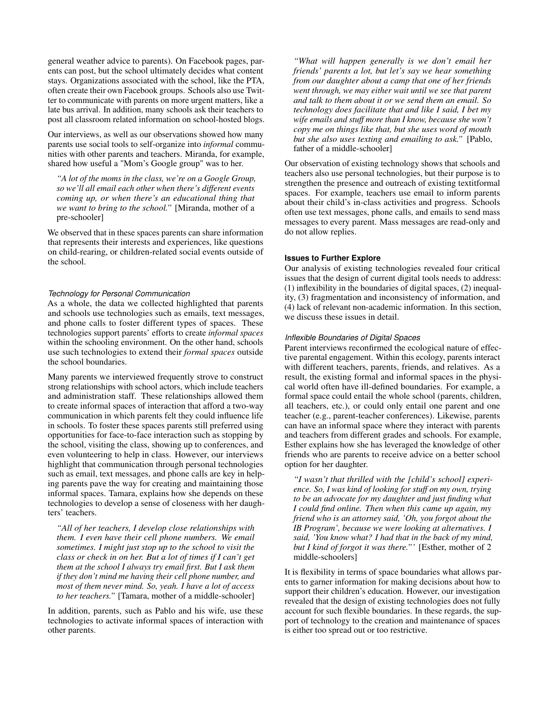general weather advice to parents). On Facebook pages, parents can post, but the school ultimately decides what content stays. Organizations associated with the school, like the PTA, often create their own Facebook groups. Schools also use Twitter to communicate with parents on more urgent matters, like a late bus arrival. In addition, many schools ask their teachers to post all classroom related information on school-hosted blogs.

Our interviews, as well as our observations showed how many parents use social tools to self-organize into *informal* communities with other parents and teachers. Miranda, for example, shared how useful a "Mom's Google group" was to her.

*"A lot of the moms in the class, we're on a Google Group, so we'll all email each other when there's different events coming up, or when there's an educational thing that we want to bring to the school."* [Miranda, mother of a pre-schooler]

We observed that in these spaces parents can share information that represents their interests and experiences, like questions on child-rearing, or children-related social events outside of the school.

# *Technology for Personal Communication*

As a whole, the data we collected highlighted that parents and schools use technologies such as emails, text messages, and phone calls to foster different types of spaces. These technologies support parents' efforts to create *informal spaces* within the schooling environment. On the other hand, schools use such technologies to extend their *formal spaces* outside the school boundaries.

Many parents we interviewed frequently strove to construct strong relationships with school actors, which include teachers and administration staff. These relationships allowed them to create informal spaces of interaction that afford a two-way communication in which parents felt they could influence life in schools. To foster these spaces parents still preferred using opportunities for face-to-face interaction such as stopping by the school, visiting the class, showing up to conferences, and even volunteering to help in class. However, our interviews highlight that communication through personal technologies such as email, text messages, and phone calls are key in helping parents pave the way for creating and maintaining those informal spaces. Tamara, explains how she depends on these technologies to develop a sense of closeness with her daughters' teachers.

*"All of her teachers, I develop close relationships with them. I even have their cell phone numbers. We email sometimes. I might just stop up to the school to visit the class or check in on her. But a lot of times if I can't get them at the school I always try email first. But I ask them if they don't mind me having their cell phone number, and most of them never mind. So, yeah. I have a lot of access to her teachers."* [Tamara, mother of a middle-schooler]

In addition, parents, such as Pablo and his wife, use these technologies to activate informal spaces of interaction with other parents.

*"What will happen generally is we don't email her friends' parents a lot, but let's say we hear something from our daughter about a camp that one of her friends went through, we may either wait until we see that parent and talk to them about it or we send them an email. So technology does facilitate that and like I said, I bet my wife emails and stuff more than I know, because she won't copy me on things like that, but she uses word of mouth but she also uses texting and emailing to ask."* [Pablo, father of a middle-schooler]

Our observation of existing technology shows that schools and teachers also use personal technologies, but their purpose is to strengthen the presence and outreach of existing textitformal spaces. For example, teachers use email to inform parents about their child's in-class activities and progress. Schools often use text messages, phone calls, and emails to send mass messages to every parent. Mass messages are read-only and do not allow replies.

# **Issues to Further Explore**

Our analysis of existing technologies revealed four critical issues that the design of current digital tools needs to address: (1) inflexibility in the boundaries of digital spaces, (2) inequality, (3) fragmentation and inconsistency of information, and (4) lack of relevant non-academic information. In this section, we discuss these issues in detail.

# *Inflexible Boundaries of Digital Spaces*

Parent interviews reconfirmed the ecological nature of effective parental engagement. Within this ecology, parents interact with different teachers, parents, friends, and relatives. As a result, the existing formal and informal spaces in the physical world often have ill-defined boundaries. For example, a formal space could entail the whole school (parents, children, all teachers, etc.), or could only entail one parent and one teacher (e.g., parent-teacher conferences). Likewise, parents can have an informal space where they interact with parents and teachers from different grades and schools. For example, Esther explains how she has leveraged the knowledge of other friends who are parents to receive advice on a better school option for her daughter.

*"I wasn't that thrilled with the [child's school] experience. So, I was kind of looking for stuff on my own, trying to be an advocate for my daughter and just finding what I could find online. Then when this came up again, my friend who is an attorney said, 'Oh, you forgot about the IB Program', because we were looking at alternatives. I said, 'You know what? I had that in the back of my mind, but I kind of forgot it was there."'* [Esther, mother of 2 middle-schoolers]

It is flexibility in terms of space boundaries what allows parents to garner information for making decisions about how to support their children's education. However, our investigation revealed that the design of existing technologies does not fully account for such flexible boundaries. In these regards, the support of technology to the creation and maintenance of spaces is either too spread out or too restrictive.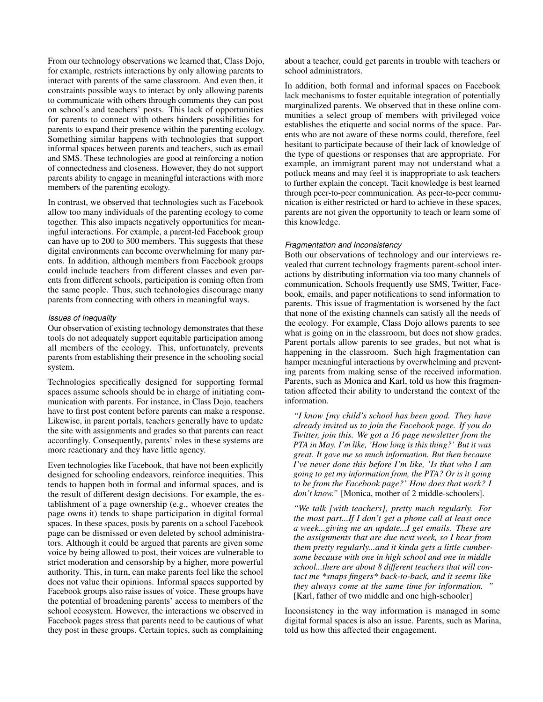From our technology observations we learned that, Class Dojo, for example, restricts interactions by only allowing parents to interact with parents of the same classroom. And even then, it constraints possible ways to interact by only allowing parents to communicate with others through comments they can post on school's and teachers' posts. This lack of opportunities for parents to connect with others hinders possibilities for parents to expand their presence within the parenting ecology. Something similar happens with technologies that support informal spaces between parents and teachers, such as email and SMS. These technologies are good at reinforcing a notion of connectedness and closeness. However, they do not support parents ability to engage in meaningful interactions with more members of the parenting ecology.

In contrast, we observed that technologies such as Facebook allow too many individuals of the parenting ecology to come together. This also impacts negatively opportunities for meaningful interactions. For example, a parent-led Facebook group can have up to 200 to 300 members. This suggests that these digital environments can become overwhelming for many parents. In addition, although members from Facebook groups could include teachers from different classes and even parents from different schools, participation is coming often from the same people. Thus, such technologies discourage many parents from connecting with others in meaningful ways.

# *Issues of Inequality*

Our observation of existing technology demonstrates that these tools do not adequately support equitable participation among all members of the ecology. This, unfortunately, prevents parents from establishing their presence in the schooling social system.

Technologies specifically designed for supporting formal spaces assume schools should be in charge of initiating communication with parents. For instance, in Class Dojo, teachers have to first post content before parents can make a response. Likewise, in parent portals, teachers generally have to update the site with assignments and grades so that parents can react accordingly. Consequently, parents' roles in these systems are more reactionary and they have little agency.

Even technologies like Facebook, that have not been explicitly designed for schooling endeavors, reinforce inequities. This tends to happen both in formal and informal spaces, and is the result of different design decisions. For example, the establishment of a page ownership (e.g., whoever creates the page owns it) tends to shape participation in digital formal spaces. In these spaces, posts by parents on a school Facebook page can be dismissed or even deleted by school administrators. Although it could be argued that parents are given some voice by being allowed to post, their voices are vulnerable to strict moderation and censorship by a higher, more powerful authority. This, in turn, can make parents feel like the school does not value their opinions. Informal spaces supported by Facebook groups also raise issues of voice. These groups have the potential of broadening parents' access to members of the school ecosystem. However, the interactions we observed in Facebook pages stress that parents need to be cautious of what they post in these groups. Certain topics, such as complaining

about a teacher, could get parents in trouble with teachers or school administrators.

In addition, both formal and informal spaces on Facebook lack mechanisms to foster equitable integration of potentially marginalized parents. We observed that in these online communities a select group of members with privileged voice establishes the etiquette and social norms of the space. Parents who are not aware of these norms could, therefore, feel hesitant to participate because of their lack of knowledge of the type of questions or responses that are appropriate. For example, an immigrant parent may not understand what a potluck means and may feel it is inappropriate to ask teachers to further explain the concept. Tacit knowledge is best learned through peer-to-peer communication. As peer-to-peer communication is either restricted or hard to achieve in these spaces, parents are not given the opportunity to teach or learn some of this knowledge.

# *Fragmentation and Inconsistency*

Both our observations of technology and our interviews revealed that current technology fragments parent-school interactions by distributing information via too many channels of communication. Schools frequently use SMS, Twitter, Facebook, emails, and paper notifications to send information to parents. This issue of fragmentation is worsened by the fact that none of the existing channels can satisfy all the needs of the ecology. For example, Class Dojo allows parents to see what is going on in the classroom, but does not show grades. Parent portals allow parents to see grades, but not what is happening in the classroom. Such high fragmentation can hamper meaningful interactions by overwhelming and preventing parents from making sense of the received information. Parents, such as Monica and Karl, told us how this fragmentation affected their ability to understand the context of the information.

*"I know [my child's school has been good. They have already invited us to join the Facebook page. If you do Twitter, join this. We got a 16 page newsletter from the PTA in May. I'm like, 'How long is this thing?' But it was great. It gave me so much information. But then because I've never done this before I'm like, 'Is that who I am going to get my information from, the PTA? Or is it going to be from the Facebook page?' How does that work? I don't know."* [Monica, mother of 2 middle-schoolers].

*"We talk [with teachers], pretty much regularly. For the most part...If I don't get a phone call at least once a week...giving me an update...I get emails. These are the assignments that are due next week, so I hear from them pretty regularly...and it kinda gets a little cumbersome because with one in high school and one in middle school...there are about 8 different teachers that will contact me \*snaps fingers\* back-to-back, and it seems like they always come at the same time for information. "* [Karl, father of two middle and one high-schooler]

Inconsistency in the way information is managed in some digital formal spaces is also an issue. Parents, such as Marina, told us how this affected their engagement.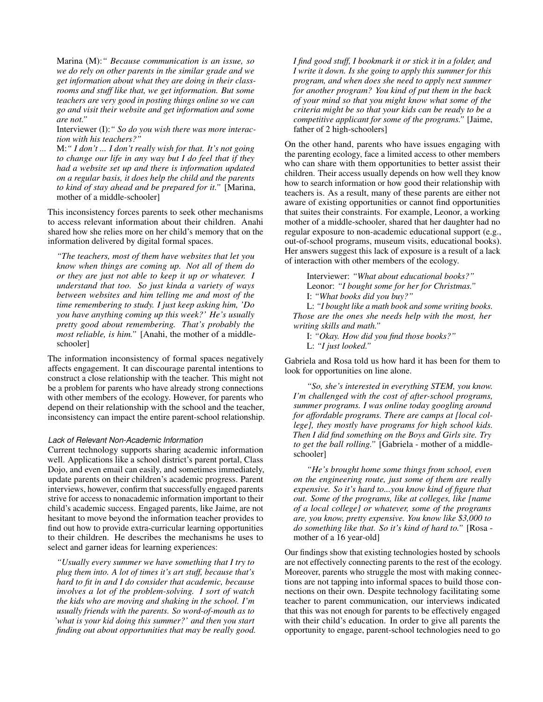Marina (M):*" Because communication is an issue, so we do rely on other parents in the similar grade and we get information about what they are doing in their classrooms and stuff like that, we get information. But some teachers are very good in posting things online so we can go and visit their website and get information and some are not."*

Interviewer (I):*" So do you wish there was more interaction with his teachers?"*

M:*" I don't ... I don't really wish for that. It's not going to change our life in any way but I do feel that if they had a website set up and there is information updated on a regular basis, it does help the child and the parents to kind of stay ahead and be prepared for it."* [Marina, mother of a middle-schooler]

This inconsistency forces parents to seek other mechanisms to access relevant information about their children. Anahi shared how she relies more on her child's memory that on the information delivered by digital formal spaces.

*"The teachers, most of them have websites that let you know when things are coming up. Not all of them do or they are just not able to keep it up or whatever. I understand that too. So just kinda a variety of ways between websites and him telling me and most of the time remembering to study. I just keep asking him, 'Do you have anything coming up this week?' He's usually pretty good about remembering. That's probably the most reliable, is him."* [Anahi, the mother of a middleschooler]

The information inconsistency of formal spaces negatively affects engagement. It can discourage parental intentions to construct a close relationship with the teacher. This might not be a problem for parents who have already strong connections with other members of the ecology. However, for parents who depend on their relationship with the school and the teacher, inconsistency can impact the entire parent-school relationship.

#### *Lack of Relevant Non-Academic Information*

Current technology supports sharing academic information well. Applications like a school district's parent portal, Class Dojo, and even email can easily, and sometimes immediately, update parents on their children's academic progress. Parent interviews, however, confirm that successfully engaged parents strive for access to nonacademic information important to their child's academic success. Engaged parents, like Jaime, are not hesitant to move beyond the information teacher provides to find out how to provide extra-curricular learning opportunities to their children. He describes the mechanisms he uses to select and garner ideas for learning experiences:

*"Usually every summer we have something that I try to plug them into. A lot of times it's art stuff, because that's hard to fit in and I do consider that academic, because involves a lot of the problem-solving. I sort of watch the kids who are moving and shaking in the school. I'm usually friends with the parents. So word-of-mouth as to 'what is your kid doing this summer?' and then you start finding out about opportunities that may be really good.*

*I find good stuff, I bookmark it or stick it in a folder, and I write it down. Is she going to apply this summer for this program, and when does she need to apply next summer for another program? You kind of put them in the back of your mind so that you might know what some of the criteria might be so that your kids can be ready to be a competitive applicant for some of the programs."* [Jaime, father of 2 high-schoolers]

On the other hand, parents who have issues engaging with the parenting ecology, face a limited access to other members who can share with them opportunities to better assist their children. Their access usually depends on how well they know how to search information or how good their relationship with teachers is. As a result, many of these parents are either not aware of existing opportunities or cannot find opportunities that suites their constraints. For example, Leonor, a working mother of a middle-schooler, shared that her daughter had no regular exposure to non-academic educational support (e.g., out-of-school programs, museum visits, educational books). Her answers suggest this lack of exposure is a result of a lack of interaction with other members of the ecology.

Interviewer: *"What about educational books?"* Leonor: *"I bought some for her for Christmas."* I: *"What books did you buy?"* L: *"I bought like a math book and some writing books.*

*Those are the ones she needs help with the most, her writing skills and math."*

I: *"Okay. How did you find those books?"*

L: *"I just looked."*

Gabriela and Rosa told us how hard it has been for them to look for opportunities on line alone.

*"So, she's interested in everything STEM, you know. I'm challenged with the cost of after-school programs, summer programs. I was online today googling around for affordable programs. There are camps at [local college], they mostly have programs for high school kids. Then I did find something on the Boys and Girls site. Try to get the ball rolling."* [Gabriela - mother of a middleschooler]

*"He's brought home some things from school, even on the engineering route, just some of them are really expensive. So it's hard to...you know kind of figure that out. Some of the programs, like at colleges, like [name of a local college] or whatever, some of the programs are, you know, pretty expensive. You know like \$3,000 to do something like that. So it's kind of hard to."* [Rosa mother of a 16 year-old]

Our findings show that existing technologies hosted by schools are not effectively connecting parents to the rest of the ecology. Moreover, parents who struggle the most with making connections are not tapping into informal spaces to build those connections on their own. Despite technology facilitating some teacher to parent communication, our interviews indicated that this was not enough for parents to be effectively engaged with their child's education. In order to give all parents the opportunity to engage, parent-school technologies need to go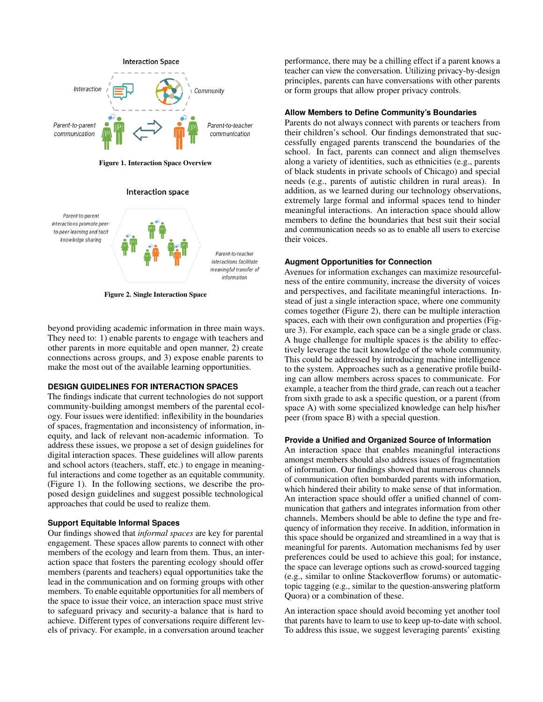

<span id="page-7-0"></span>Figure 1. Interaction Space Overview





<span id="page-7-1"></span>Figure 2. Single Interaction Space

beyond providing academic information in three main ways. They need to: 1) enable parents to engage with teachers and other parents in more equitable and open manner, 2) create connections across groups, and 3) expose enable parents to make the most out of the available learning opportunities.

#### **DESIGN GUIDELINES FOR INTERACTION SPACES**

The findings indicate that current technologies do not support community-building amongst members of the parental ecology. Four issues were identified: inflexibility in the boundaries of spaces, fragmentation and inconsistency of information, inequity, and lack of relevant non-academic information. To address these issues, we propose a set of design guidelines for digital interaction spaces. These guidelines will allow parents and school actors (teachers, staff, etc.) to engage in meaningful interactions and come together as an equitable community. (Figure [1\)](#page-7-0). In the following sections, we describe the proposed design guidelines and suggest possible technological approaches that could be used to realize them.

#### **Support Equitable Informal Spaces**

Our findings showed that *informal spaces* are key for parental engagement. These spaces allow parents to connect with other members of the ecology and learn from them. Thus, an interaction space that fosters the parenting ecology should offer members (parents and teachers) equal opportunities take the lead in the communication and on forming groups with other members. To enable equitable opportunities for all members of the space to issue their voice, an interaction space must strive to safeguard privacy and security-a balance that is hard to achieve. Different types of conversations require different levels of privacy. For example, in a conversation around teacher

performance, there may be a chilling effect if a parent knows a teacher can view the conversation. Utilizing privacy-by-design principles, parents can have conversations with other parents or form groups that allow proper privacy controls.

# **Allow Members to Define Community's Boundaries**

Parents do not always connect with parents or teachers from their children's school. Our findings demonstrated that successfully engaged parents transcend the boundaries of the school. In fact, parents can connect and align themselves along a variety of identities, such as ethnicities (e.g., parents of black students in private schools of Chicago) and special needs (e.g., parents of autistic children in rural areas). In addition, as we learned during our technology observations, extremely large formal and informal spaces tend to hinder meaningful interactions. An interaction space should allow members to define the boundaries that best suit their social and communication needs so as to enable all users to exercise their voices.

# **Augment Opportunities for Connection**

Avenues for information exchanges can maximize resourcefulness of the entire community, increase the diversity of voices and perspectives, and facilitate meaningful interactions. Instead of just a single interaction space, where one community comes together (Figure [2\)](#page-7-1), there can be multiple interaction spaces, each with their own configuration and properties (Figure [3\)](#page-8-0). For example, each space can be a single grade or class. A huge challenge for multiple spaces is the ability to effectively leverage the tacit knowledge of the whole community. This could be addressed by introducing machine intelligence to the system. Approaches such as a generative profile building can allow members across spaces to communicate. For example, a teacher from the third grade, can reach out a teacher from sixth grade to ask a specific question, or a parent (from space A) with some specialized knowledge can help his/her peer (from space B) with a special question.

#### **Provide a Unified and Organized Source of Information**

An interaction space that enables meaningful interactions amongst members should also address issues of fragmentation of information. Our findings showed that numerous channels of communication often bombarded parents with information, which hindered their ability to make sense of that information. An interaction space should offer a unified channel of communication that gathers and integrates information from other channels. Members should be able to define the type and frequency of information they receive. In addition, information in this space should be organized and streamlined in a way that is meaningful for parents. Automation mechanisms fed by user preferences could be used to achieve this goal; for instance, the space can leverage options such as crowd-sourced tagging (e.g., similar to online Stackoverflow forums) or automatictopic tagging (e.g., similar to the question-answering platform Quora) or a combination of these.

An interaction space should avoid becoming yet another tool that parents have to learn to use to keep up-to-date with school. To address this issue, we suggest leveraging parents' existing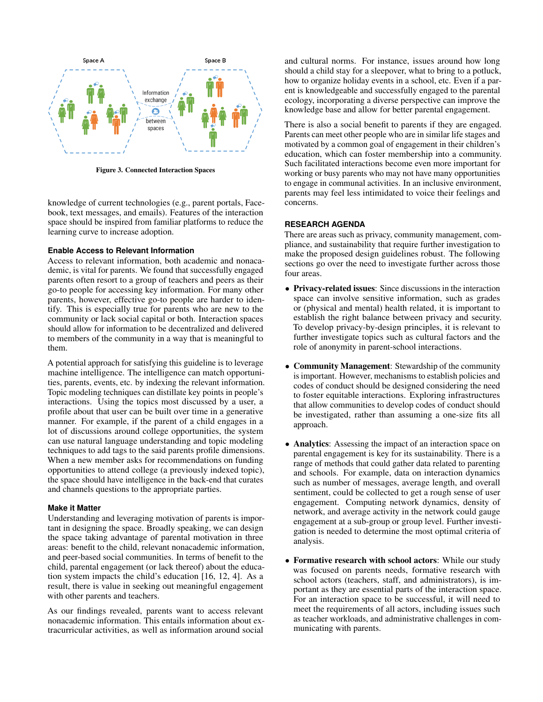

<span id="page-8-0"></span>Figure 3. Connected Interaction Spaces

knowledge of current technologies (e.g., parent portals, Facebook, text messages, and emails). Features of the interaction space should be inspired from familiar platforms to reduce the learning curve to increase adoption.

# **Enable Access to Relevant Information**

Access to relevant information, both academic and nonacademic, is vital for parents. We found that successfully engaged parents often resort to a group of teachers and peers as their go-to people for accessing key information. For many other parents, however, effective go-to people are harder to identify. This is especially true for parents who are new to the community or lack social capital or both. Interaction spaces should allow for information to be decentralized and delivered to members of the community in a way that is meaningful to them.

A potential approach for satisfying this guideline is to leverage machine intelligence. The intelligence can match opportunities, parents, events, etc. by indexing the relevant information. Topic modeling techniques can distillate key points in people's interactions. Using the topics most discussed by a user, a profile about that user can be built over time in a generative manner. For example, if the parent of a child engages in a lot of discussions around college opportunities, the system can use natural language understanding and topic modeling techniques to add tags to the said parents profile dimensions. When a new member asks for recommendations on funding opportunities to attend college (a previously indexed topic), the space should have intelligence in the back-end that curates and channels questions to the appropriate parties.

#### **Make it Matter**

Understanding and leveraging motivation of parents is important in designing the space. Broadly speaking, we can design the space taking advantage of parental motivation in three areas: benefit to the child, relevant nonacademic information, and peer-based social communities. In terms of benefit to the child, parental engagement (or lack thereof) about the education system impacts the child's education [\[16,](#page-9-2) [12,](#page-9-17) [4\]](#page-9-22). As a result, there is value in seeking out meaningful engagement with other parents and teachers.

As our findings revealed, parents want to access relevant nonacademic information. This entails information about extracurricular activities, as well as information around social

and cultural norms. For instance, issues around how long should a child stay for a sleepover, what to bring to a potluck, how to organize holiday events in a school, etc. Even if a parent is knowledgeable and successfully engaged to the parental ecology, incorporating a diverse perspective can improve the knowledge base and allow for better parental engagement.

There is also a social benefit to parents if they are engaged. Parents can meet other people who are in similar life stages and motivated by a common goal of engagement in their children's education, which can foster membership into a community. Such facilitated interactions become even more important for working or busy parents who may not have many opportunities to engage in communal activities. In an inclusive environment, parents may feel less intimidated to voice their feelings and concerns.

# **RESEARCH AGENDA**

There are areas such as privacy, community management, compliance, and sustainability that require further investigation to make the proposed design guidelines robust. The following sections go over the need to investigate further across those four areas.

- Privacy-related issues: Since discussions in the interaction space can involve sensitive information, such as grades or (physical and mental) health related, it is important to establish the right balance between privacy and security. To develop privacy-by-design principles, it is relevant to further investigate topics such as cultural factors and the role of anonymity in parent-school interactions.
- Community Management: Stewardship of the community is important. However, mechanisms to establish policies and codes of conduct should be designed considering the need to foster equitable interactions. Exploring infrastructures that allow communities to develop codes of conduct should be investigated, rather than assuming a one-size fits all approach.
- Analytics: Assessing the impact of an interaction space on parental engagement is key for its sustainability. There is a range of methods that could gather data related to parenting and schools. For example, data on interaction dynamics such as number of messages, average length, and overall sentiment, could be collected to get a rough sense of user engagement. Computing network dynamics, density of network, and average activity in the network could gauge engagement at a sub-group or group level. Further investigation is needed to determine the most optimal criteria of analysis.
- Formative research with school actors: While our study was focused on parents needs, formative research with school actors (teachers, staff, and administrators), is important as they are essential parts of the interaction space. For an interaction space to be successful, it will need to meet the requirements of all actors, including issues such as teacher workloads, and administrative challenges in communicating with parents.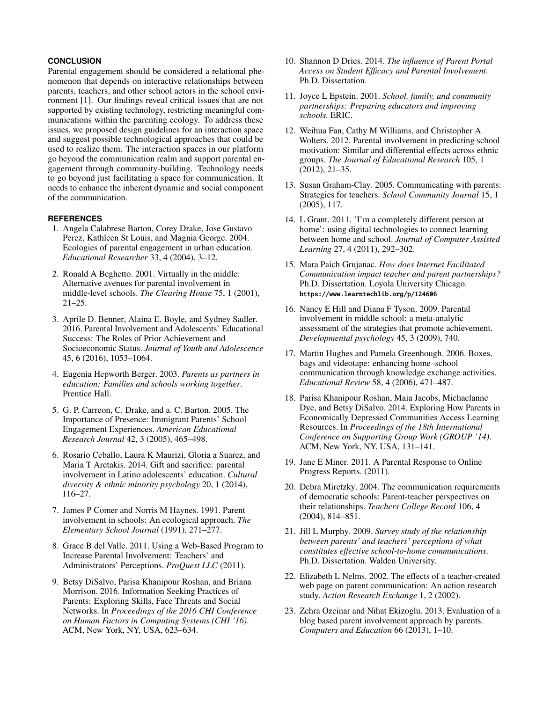# **CONCLUSION**

Parental engagement should be considered a relational phenomenon that depends on interactive relationships between parents, teachers, and other school actors in the school environment [\[1\]](#page-9-7). Our findings reveal critical issues that are not supported by existing technology, restricting meaningful communications within the parenting ecology. To address these issues, we proposed design guidelines for an interaction space and suggest possible technological approaches that could be used to realize them. The interaction spaces in our platform go beyond the communication realm and support parental engagement through community-building. Technology needs to go beyond just facilitating a space for communication. It needs to enhance the inherent dynamic and social component of the communication.

# <span id="page-9-7"></span>**REFERENCES**

- 1. Angela Calabrese Barton, Corey Drake, Jose Gustavo Perez, Kathleen St Louis, and Magnia George. 2004. Ecologies of parental engagement in urban education. *Educational Researcher* 33, 4 (2004), 3–12.
- <span id="page-9-16"></span>2. Ronald A Beghetto. 2001. Virtually in the middle: Alternative avenues for parental involvement in middle-level schools. *The Clearing House* 75, 1 (2001), 21–25.
- <span id="page-9-0"></span>3. Aprile D. Benner, Alaina E. Boyle, and Sydney Sadler. 2016. Parental Involvement and Adolescents' Educational Success: The Roles of Prior Achievement and Socioeconomic Status. *Journal of Youth and Adolescence* 45, 6 (2016), 1053–1064.
- <span id="page-9-22"></span>4. Eugenia Hepworth Berger. 2003. *Parents as partners in education: Families and schools working together*. Prentice Hall.
- <span id="page-9-8"></span>5. G. P. Carreon, C. Drake, and a. C. Barton. 2005. The Importance of Presence: Immigrant Parents' School Engagement Experiences. *American Educational Research Journal* 42, 3 (2005), 465–498.
- <span id="page-9-1"></span>6. Rosario Ceballo, Laura K Maurizi, Gloria a Suarez, and Maria T Aretakis. 2014. Gift and sacrifice: parental involvement in Latino adolescents' education. *Cultural diversity & ethnic minority psychology* 20, 1 (2014), 116–27.
- <span id="page-9-6"></span>7. James P Comer and Norris M Haynes. 1991. Parent involvement in schools: An ecological approach. *The Elementary School Journal* (1991), 271–277.
- <span id="page-9-9"></span>8. Grace B del Valle. 2011. Using a Web-Based Program to Increase Parental Involvement: Teachers' and Administrators' Perceptions. *ProQuest LLC* (2011).
- <span id="page-9-12"></span>9. Betsy DiSalvo, Parisa Khanipour Roshan, and Briana Morrison. 2016. Information Seeking Practices of Parents: Exploring Skills, Face Threats and Social Networks. In *Proceedings of the 2016 CHI Conference on Human Factors in Computing Systems (CHI '16)*. ACM, New York, NY, USA, 623–634.
- <span id="page-9-19"></span>10. Shannon D Dries. 2014. *The influence of Parent Portal Access on Student Efficacy and Parental Involvement*. Ph.D. Dissertation.
- <span id="page-9-5"></span>11. Joyce L Epstein. 2001. *School, family, and community partnerships: Preparing educators and improving schools.* ERIC.
- <span id="page-9-17"></span>12. Weihua Fan, Cathy M Williams, and Christopher A Wolters. 2012. Parental involvement in predicting school motivation: Similar and differential effects across ethnic groups. *The Journal of Educational Research* 105, 1 (2012), 21–35.
- <span id="page-9-13"></span>13. Susan Graham-Clay. 2005. Communicating with parents: Strategies for teachers. *School Community Journal* 15, 1 (2005), 117.
- <span id="page-9-14"></span>14. L Grant. 2011. 'I'm a completely different person at home': using digital technologies to connect learning between home and school. *Journal of Computer Assisted Learning* 27, 4 (2011), 292–302.
- <span id="page-9-4"></span>15. Mara Paich Grujanac. *How does Internet Facilitated Communication impact teacher and parent partnerships?* Ph.D. Dissertation. Loyola University Chicago. <https://www.learntechlib.org/p/124606>
- <span id="page-9-2"></span>16. Nancy E Hill and Diana F Tyson. 2009. Parental involvement in middle school: a meta-analytic assessment of the strategies that promote achievement. *Developmental psychology* 45, 3 (2009), 740.
- <span id="page-9-15"></span>17. Martin Hughes and Pamela Greenhough. 2006. Boxes, bags and videotape: enhancing home–school communication through knowledge exchange activities. *Educational Review* 58, 4 (2006), 471–487.
- <span id="page-9-21"></span>18. Parisa Khanipour Roshan, Maia Jacobs, Michaelanne Dye, and Betsy DiSalvo. 2014. Exploring How Parents in Economically Depressed Communities Access Learning Resources. In *Proceedings of the 18th International Conference on Supporting Group Work (GROUP '14)*. ACM, New York, NY, USA, 131–141.
- <span id="page-9-10"></span>19. Jane E Miner. 2011. A Parental Response to Online Progress Reports. (2011).
- <span id="page-9-18"></span>20. Debra Miretzky. 2004. The communication requirements of democratic schools: Parent-teacher perspectives on their relationships. *Teachers College Record* 106, 4 (2004), 814–851.
- <span id="page-9-11"></span>21. Jill L Murphy. 2009. *Survey study of the relationship between parents' and teachers' perceptions of what constitutes effective school-to-home communications*. Ph.D. Dissertation. Walden University.
- <span id="page-9-20"></span>22. Elizabeth L Nelms. 2002. The effects of a teacher-created web page on parent communication: An action research study. *Action Research Exchange* 1, 2 (2002).
- <span id="page-9-3"></span>23. Zehra Ozcinar and Nihat Ekizoglu. 2013. Evaluation of a blog based parent involvement approach by parents. *Computers and Education* 66 (2013), 1–10.